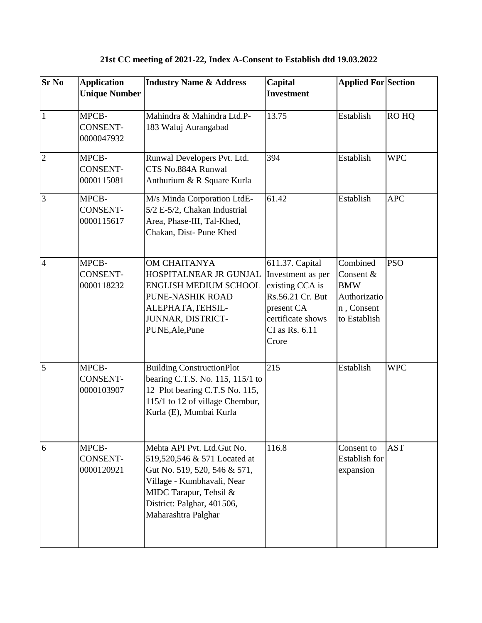## **21st CC meeting of 2021-22, Index A-Consent to Establish dtd 19.03.2022**

| <b>Sr No</b>   | <b>Application</b><br><b>Unique Number</b> | <b>Industry Name &amp; Address</b>                                                                                                                                                                      | Capital<br><b>Investment</b>                                                                                                              | <b>Applied For Section</b>                                                        |            |
|----------------|--------------------------------------------|---------------------------------------------------------------------------------------------------------------------------------------------------------------------------------------------------------|-------------------------------------------------------------------------------------------------------------------------------------------|-----------------------------------------------------------------------------------|------------|
| $\mathbf{1}$   | MPCB-<br><b>CONSENT-</b><br>0000047932     | Mahindra & Mahindra Ltd.P-<br>183 Waluj Aurangabad                                                                                                                                                      | 13.75                                                                                                                                     | Establish                                                                         | RO HQ      |
| $\overline{2}$ | MPCB-<br><b>CONSENT-</b><br>0000115081     | Runwal Developers Pvt. Ltd.<br>CTS No.884A Runwal<br>Anthurium & R Square Kurla                                                                                                                         | 394                                                                                                                                       | Establish                                                                         | <b>WPC</b> |
| 3              | MPCB-<br><b>CONSENT-</b><br>0000115617     | M/s Minda Corporation LtdE-<br>5/2 E-5/2, Chakan Industrial<br>Area, Phase-III, Tal-Khed,<br>Chakan, Dist-Pune Khed                                                                                     | 61.42                                                                                                                                     | Establish                                                                         | <b>APC</b> |
| $\overline{4}$ | MPCB-<br><b>CONSENT-</b><br>0000118232     | <b>OM CHAITANYA</b><br>HOSPITALNEAR JR GUNJAL<br><b>ENGLISH MEDIUM SCHOOL</b><br>PUNE-NASHIK ROAD<br>ALEPHATA, TEHSIL-<br>JUNNAR, DISTRICT-<br>PUNE, Ale, Pune                                          | 611.37. Capital<br>Investment as per<br>existing CCA is<br>Rs.56.21 Cr. But<br>present CA<br>certificate shows<br>CI as Rs. 6.11<br>Crore | Combined<br>Consent &<br><b>BMW</b><br>Authorizatio<br>n, Consent<br>to Establish | <b>PSO</b> |
| 5              | MPCB-<br><b>CONSENT-</b><br>0000103907     | <b>Building ConstructionPlot</b><br>bearing C.T.S. No. 115, 115/1 to<br>12 Plot bearing C.T.S No. 115,<br>115/1 to 12 of village Chembur,<br>Kurla (E), Mumbai Kurla                                    | 215                                                                                                                                       | Establish                                                                         | <b>WPC</b> |
| 6              | MPCB-<br>CONSENT-<br>0000120921            | Mehta API Pvt. Ltd.Gut No.<br>519,520,546 & 571 Located at<br>Gut No. 519, 520, 546 & 571,<br>Village - Kumbhavali, Near<br>MIDC Tarapur, Tehsil &<br>District: Palghar, 401506,<br>Maharashtra Palghar | 116.8                                                                                                                                     | Consent to<br>Establish for<br>expansion                                          | <b>AST</b> |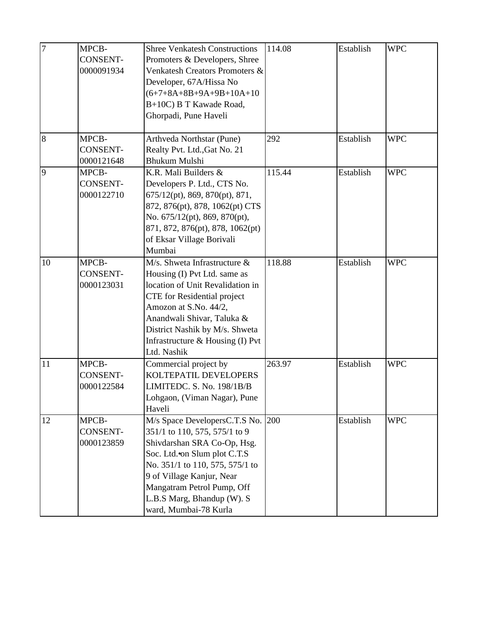| $\overline{7}$ | MPCB-<br><b>CONSENT-</b><br>0000091934 | <b>Shree Venkatesh Constructions</b><br>Promoters & Developers, Shree<br>Venkatesh Creators Promoters &<br>Developer, 67A/Hissa No<br>$(6+7+8A+8B+9A+9B+10A+10$<br>B+10C) B T Kawade Road,<br>Ghorpadi, Pune Haveli                                                                | 114.08 | Establish | <b>WPC</b> |
|----------------|----------------------------------------|------------------------------------------------------------------------------------------------------------------------------------------------------------------------------------------------------------------------------------------------------------------------------------|--------|-----------|------------|
| 8              | MPCB-<br><b>CONSENT-</b><br>0000121648 | Arthveda Northstar (Pune)<br>Realty Pvt. Ltd., Gat No. 21<br><b>Bhukum Mulshi</b>                                                                                                                                                                                                  | 292    | Establish | <b>WPC</b> |
| 9              | MPCB-<br><b>CONSENT-</b><br>0000122710 | K.R. Mali Builders &<br>Developers P. Ltd., CTS No.<br>675/12(pt), 869, 870(pt), 871,<br>872, 876(pt), 878, 1062(pt) CTS<br>No. 675/12(pt), 869, 870(pt),<br>871, 872, 876(pt), 878, 1062(pt)<br>of Eksar Village Borivali<br>Mumbai                                               | 115.44 | Establish | <b>WPC</b> |
| 10             | MPCB-<br><b>CONSENT-</b><br>0000123031 | M/s. Shweta Infrastructure &<br>Housing (I) Pvt Ltd. same as<br>location of Unit Revalidation in<br><b>CTE</b> for Residential project<br>Amozon at S.No. 44/2,<br>Anandwali Shivar, Taluka &<br>District Nashik by M/s. Shweta<br>Infrastructure & Housing (I) Pvt<br>Ltd. Nashik | 118.88 | Establish | <b>WPC</b> |
| 11             | MPCB-<br><b>CONSENT-</b><br>0000122584 | Commercial project by<br>KOLTEPATIL DEVELOPERS<br>LIMITEDC. S. No. 198/1B/B<br>Lohgaon, (Viman Nagar), Pune<br>Haveli                                                                                                                                                              | 263.97 | Establish | <b>WPC</b> |
| 12             | MPCB-<br>CONSENT-<br>0000123859        | M/s Space DevelopersC.T.S No.<br>351/1 to 110, 575, 575/1 to 9<br>Shivdarshan SRA Co-Op, Hsg.<br>Soc. Ltd. on Slum plot C.T.S<br>No. 351/1 to 110, 575, 575/1 to<br>9 of Village Kanjur, Near<br>Mangatram Petrol Pump, Off<br>L.B.S Marg, Bhandup (W). S<br>ward, Mumbai-78 Kurla | 200    | Establish | <b>WPC</b> |